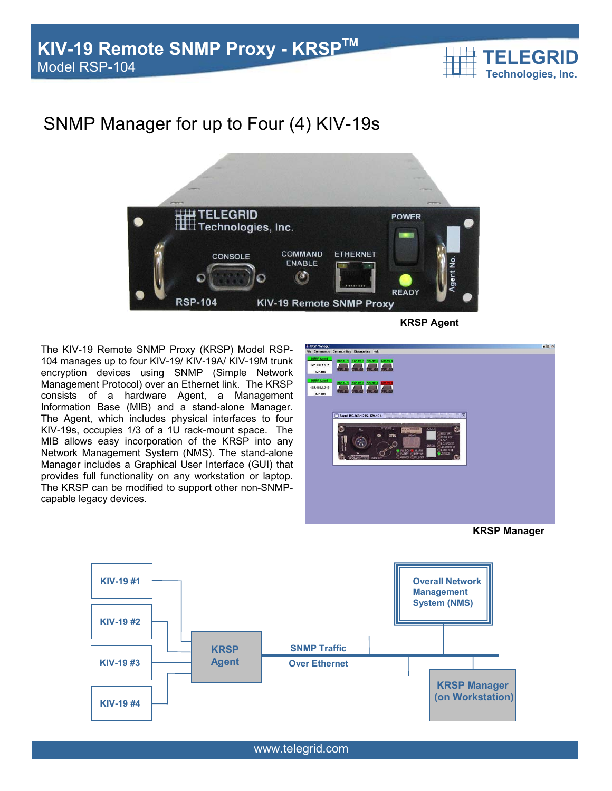

# SNMP Manager for up to Four (4) KIV-19s



The KIV-19 Remote SNMP Proxy (KRSP) Model RSP-104 manages up to four KIV-19/ KIV-19A/ KIV-19M trunk encryption devices using SNMP (Simple Network Management Protocol) over an Ethernet link. The KRSP consists of a hardware Agent, a Management Information Base (MIB) and a stand-alone Manager. The Agent, which includes physical interfaces to four KIV-19s, occupies 1/3 of a 1U rack-mount space. The MIB allows easy incorporation of the KRSP into any Network Management System (NMS). The stand-alone Manager includes a Graphical User Interface (GUI) that provides full functionality on any workstation or laptop. The KRSP can be modified to support other non-SNMPcapable legacy devices.



**KRSP Manager**



www.telegrid.com